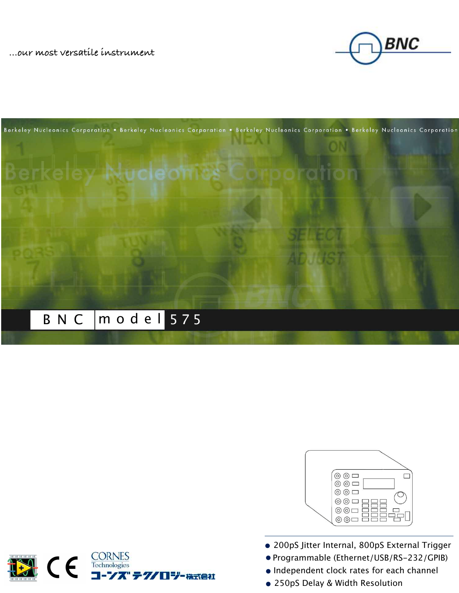**…our most versatile instrument**

 $\begin{array}{ccc} & \stackrel{\text{CORNES}}{ {\textcolor{red}{\text{Technologies}}}}\\ & \textcolor{red}{\text{I}\text{=-1}}\\ \end{array}$ 

**7ズ テク/ロジ-**株式会社







- 200pS Jitter Internal, 800pS External Trigger
- Programmable (Ethernet/USB/RS-232/GPIB)
- Independent clock rates for each channel
- 250pS Delay & Width Resolution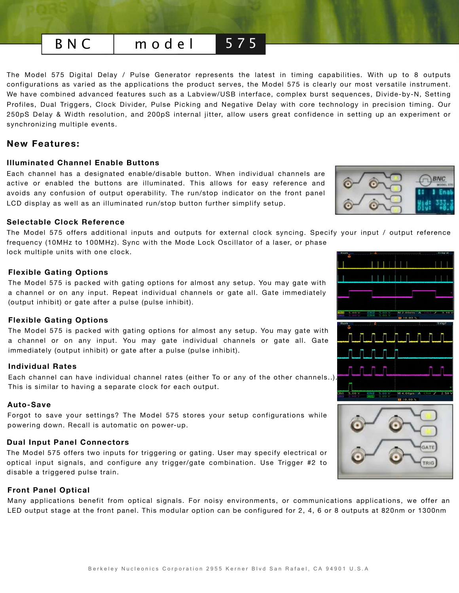# BNC | model 575

The Model 575 Digital Delay / Pulse Generator represents the latest in timing capabilities. With up to 8 outputs configurations as varied as the applications the product serves, the Model 575 is clearly our most versatile instrument. We have combined advanced features such as a Labview/USB interface, complex burst sequences, Divide-by-N, Setting Profiles, Dual Triggers, Clock Divider, Pulse Picking and Negative Delay with core technology in precision timing. Our 250pS Delay & Width resolution, and 200pS internal jitter, allow users great confidence in setting up an experiment or synchronizing multiple events.

### **New Features:**

#### **Illuminated Channel Enable Buttons**

Each channel has a designated enable/disable button. When individual channels are active or enabled the buttons are illuminated. This allows for easy reference and avoids any confusion of output operability. The run/stop indicator on the front panel LCD display as well as an illuminated run/stop button further simplify setup.

#### **Selectable Clock Reference**

The Model 575 offers additional inputs and outputs for external clock syncing. Specify your input / output reference frequency (10MHz to 100MHz). Sync with the Mode Lock Oscillator of a laser, or phase lock multiple units with one clock.

#### **Flexible Gating Options**

The Model 575 is packed with gating options for almost any setup. You may gate with a channel or on any input. Repeat individual channels or gate all. Gate immediately (output inhibit) or gate after a pulse (pulse inhibit).

#### **Flexible Gating Options**

The Model 575 is packed with gating options for almost any setup. You may gate with a channel or on any input. You may gate individual channels or gate all. Gate immediately (output inhibit) or gate after a pulse (pulse inhibit).

#### **Individual Rates**

Each channel can have individual channel rates (either To or any of the other channels..). This is similar to having a separate clock for each output.

#### **Auto-Save**

Forgot to save your settings? The Model 575 stores your setup configurations while powering down. Recall is automatic on power-up.

#### **Dual Input Panel Connectors**

The Model 575 offers two inputs for triggering or gating. User may specify electrical or optical input signals, and configure any trigger/gate combination. Use Trigger #2 to disable a triggered pulse train.

#### **Front Panel Optical**

Many applications benefit from optical signals. For noisy environments, or communications applications, we offer an LED output stage at the front panel. This modular option can be configured for 2, 4, 6 or 8 outputs at 820nm or 1300nm





RNI

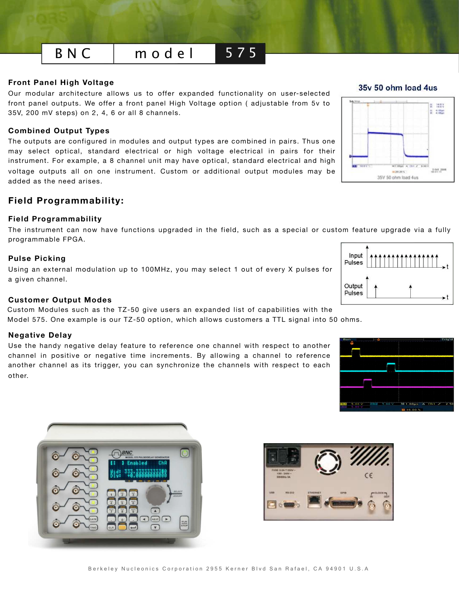## **Front Panel High Voltage**

Our [modular architecture](http://www.berkeleynucleonics.com/images/575_modular.jpg) allows us to offer expanded functionality on user-selected front panel outputs. We offer a front panel High Voltage option ( adjustable from 5v to 35V, 200 mV steps) on 2, 4, 6 or all 8 channels.

#### **Combined Output Types**

The outputs are configured in modules and output types are combined in pairs. Thus one may select optical, standard electrical or high voltage electrical in pairs for their instrument. For example, a 8 channel unit may have optical, standard electrical and high voltage outputs all on one instrument. Custom or additional output modules may be added as the need arises.

### **Field Programmability:**

#### **Field Programmability**

The instrument can now have functions upgraded in the field, such as a special or custom feature upgrade via a fully programmable FPGA.

#### **Pulse Picking**

Using an external modulation up to 100MHz, you may select 1 out of every X pulses for a given channel.

#### **Customer Output Modes**

Custom Modules such as the [TZ-50](http://www.berkeleynucleonics.com/images/575_tz50.jpg) give users an expanded list of capabilities with the Model 575. One example is our TZ-50 option, which allows customers a TTL signal into 50 ohms.

#### **Negative Delay**

Use the handy negative delay feature to reference one channel with respect to another channel in positive or negative time increments. By allowing a channel to reference another channel as its trigger, you can synchronize the channels with respect to each other.

> $\bigcap$ BNC Enabled  $\sqrt{2}$  $\bigodot$   $\bigodot$   $\bigodot$ **RUN**<br>STOP  $\sqrt{ }$

> > Berkeley Nucleonics Corporation 2955 Kerner Blvd San Rafael, CA 94901 U.S.A







# B N C | m o d e l 575